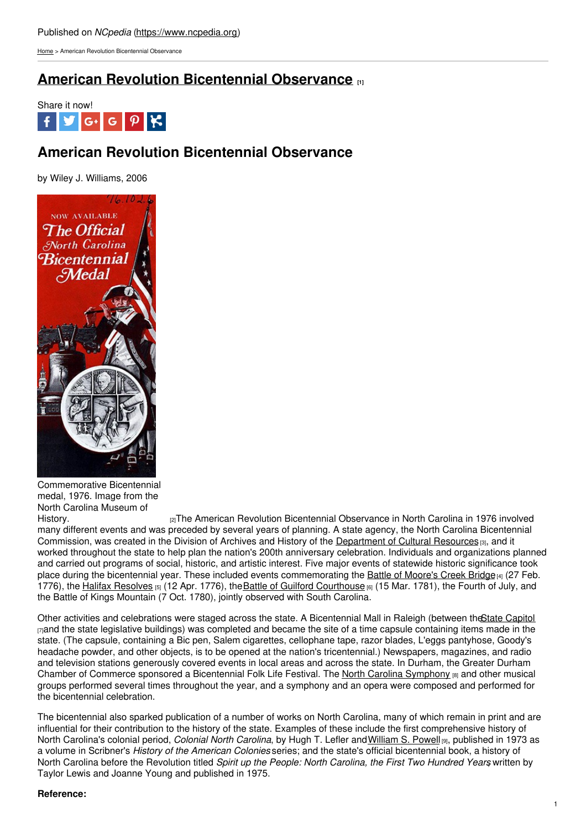[Home](https://www.ncpedia.org/) > American Revolution Bicentennial Observance

## **American Revolution [Bicentennial](https://www.ncpedia.org/american-revolution-bicentennial-ob) Observance [1]**



# **American Revolution Bicentennial Observance**

by Wiley J. Williams, 2006



Commemorative Bicentennial medal, 1976. Image from the North Carolina Museum of

[History.](http://collections.ncdcr.gov/RediscoveryProficioPublicSearch/ShowItem.aspx?15187+) **Example 2** and the American Revolution Bicentennial Observance in North Carolina in 1976 involved many different events and was preceded by several years of planning. A state agency, the North Carolina Bicentennial Commission, was created in the Division of Archives and History of the [Department](https://www.ncpedia.org/cultural-resources-department) of Cultural Resources [3], and it worked throughout the state to help plan the nation's 200th anniversary celebration. Individuals and organizations planned and carried out programs of social, historic, and artistic interest. Five major events of statewide historic significance took place during the bicentennial year. These included events commemorating the Battle of [Moore's](https://www.ncpedia.org/moores-creek-bridge-battle) Creek Bridge $_{[4]}$  (27 Feb. 1776), the Halifax [Resolves](https://www.ncpedia.org/history/usrevolution/halifax-resolves) [5] (12 Apr. 1776), the Battle of Guilford [Courthouse](https://www.ncpedia.org/history/usrevolution/guilford-courthouse) [6] (15 Mar. 1781), the Fourth of July, and the Battle of Kings Mountain (7 Oct. 1780), jointly observed with South Carolina.

Other activities and celebrations were staged across the state. A Bicentennial Mall in Raleigh (between the State [Capitol](https://www.ncpedia.org/state-capitol) [7]and the state legislative buildings) was completed and became the site of a time capsule containing items made in the state. (The capsule, containing a Bic pen, Salem cigarettes, cellophane tape, razor blades, L'eggs pantyhose, Goody's headache powder, and other objects, is to be opened at the nation's tricentennial.) Newspapers, magazines, and radio and television stations generously covered events in local areas and across the state. In Durham, the Greater Durham Chamber of Commerce sponsored a Bicentennial Folk Life Festival. The North Carolina [Symphony](https://www.ncpedia.org/north-carolina-symphony) [8] and other musical groups performed several times throughout the year, and a symphony and an opera were composed and performed for the bicentennial celebration.

The bicentennial also sparked publication of a number of works on North Carolina, many of which remain in print and are influential for their contribution to the history of the state. Examples of these include the first comprehensive history of North Carolina's colonial period, *Colonial North Carolina*, by Hugh T. Lefler and[William](https://www.ncpedia.org/biography/powell-william) S. Powell [9], published in 1973 as a volume in Scribner's *History of the American Colonies* series; and the state's official bicentennial book, a history of North Carolina before the Revolution titled *Spirit up the People: North Carolina, the First Two Hundred Years*, written by Taylor Lewis and Joanne Young and published in 1975.

### **Reference:**